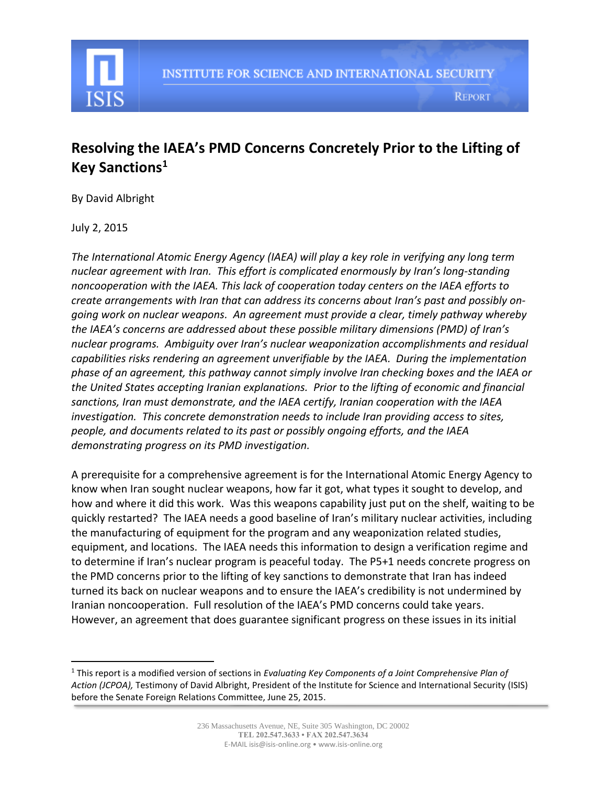

# **Resolving the IAEA's PMD Concerns Concretely Prior to the Lifting of Key Sanctions<sup>1</sup>**

By David Albright

July 2, 2015

 $\overline{\phantom{a}}$ 

*The International Atomic Energy Agency (IAEA) will play a key role in verifying any long term nuclear agreement with Iran. This effort is complicated enormously by Iran's long-standing noncooperation with the IAEA. This lack of cooperation today centers on the IAEA efforts to create arrangements with Iran that can address its concerns about Iran's past and possibly ongoing work on nuclear weapons. An agreement must provide a clear, timely pathway whereby the IAEA's concerns are addressed about these possible military dimensions (PMD) of Iran's nuclear programs. Ambiguity over Iran's nuclear weaponization accomplishments and residual capabilities risks rendering an agreement unverifiable by the IAEA. During the implementation phase of an agreement, this pathway cannot simply involve Iran checking boxes and the IAEA or the United States accepting Iranian explanations. Prior to the lifting of economic and financial sanctions, Iran must demonstrate, and the IAEA certify, Iranian cooperation with the IAEA investigation. This concrete demonstration needs to include Iran providing access to sites, people, and documents related to its past or possibly ongoing efforts, and the IAEA demonstrating progress on its PMD investigation.*

A prerequisite for a comprehensive agreement is for the International Atomic Energy Agency to know when Iran sought nuclear weapons, how far it got, what types it sought to develop, and how and where it did this work. Was this weapons capability just put on the shelf, waiting to be quickly restarted? The IAEA needs a good baseline of Iran's military nuclear activities, including the manufacturing of equipment for the program and any weaponization related studies, equipment, and locations. The IAEA needs this information to design a verification regime and to determine if Iran's nuclear program is peaceful today. The P5+1 needs concrete progress on the PMD concerns prior to the lifting of key sanctions to demonstrate that Iran has indeed turned its back on nuclear weapons and to ensure the IAEA's credibility is not undermined by Iranian noncooperation. Full resolution of the IAEA's PMD concerns could take years. However, an agreement that does guarantee significant progress on these issues in its initial

<sup>1</sup> This report is a modified version of sections in *Evaluating Key Components of a Joint Comprehensive Plan of Action (JCPOA),* Testimony of David Albright, President of the Institute for Science and International Security (ISIS) before the Senate Foreign Relations Committee, June 25, 2015.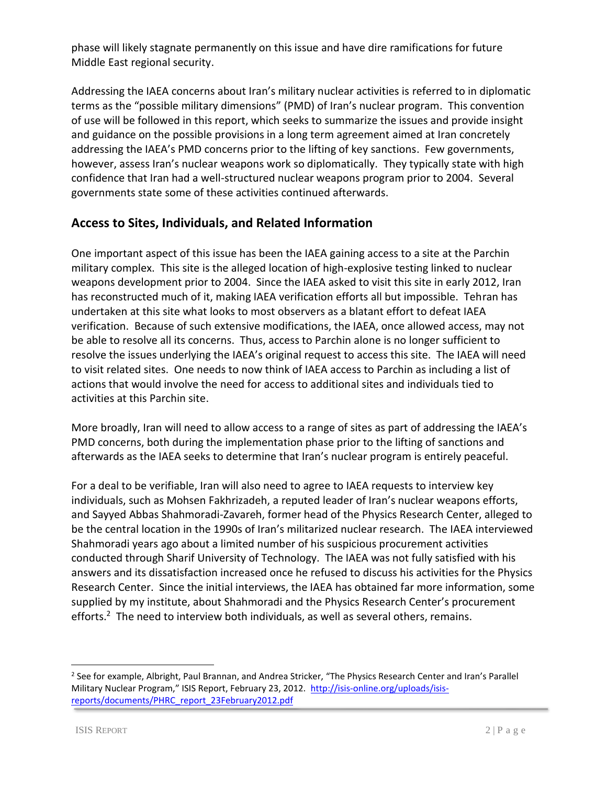phase will likely stagnate permanently on this issue and have dire ramifications for future Middle East regional security.

Addressing the IAEA concerns about Iran's military nuclear activities is referred to in diplomatic terms as the "possible military dimensions" (PMD) of Iran's nuclear program. This convention of use will be followed in this report, which seeks to summarize the issues and provide insight and guidance on the possible provisions in a long term agreement aimed at Iran concretely addressing the IAEA's PMD concerns prior to the lifting of key sanctions. Few governments, however, assess Iran's nuclear weapons work so diplomatically. They typically state with high confidence that Iran had a well-structured nuclear weapons program prior to 2004. Several governments state some of these activities continued afterwards.

# **Access to Sites, Individuals, and Related Information**

One important aspect of this issue has been the IAEA gaining access to a site at the Parchin military complex. This site is the alleged location of high-explosive testing linked to nuclear weapons development prior to 2004. Since the IAEA asked to visit this site in early 2012, Iran has reconstructed much of it, making IAEA verification efforts all but impossible. Tehran has undertaken at this site what looks to most observers as a blatant effort to defeat IAEA verification. Because of such extensive modifications, the IAEA, once allowed access, may not be able to resolve all its concerns. Thus, access to Parchin alone is no longer sufficient to resolve the issues underlying the IAEA's original request to access this site. The IAEA will need to visit related sites. One needs to now think of IAEA access to Parchin as including a list of actions that would involve the need for access to additional sites and individuals tied to activities at this Parchin site.

More broadly, Iran will need to allow access to a range of sites as part of addressing the IAEA's PMD concerns, both during the implementation phase prior to the lifting of sanctions and afterwards as the IAEA seeks to determine that Iran's nuclear program is entirely peaceful.

For a deal to be verifiable, Iran will also need to agree to IAEA requests to interview key individuals, such as Mohsen Fakhrizadeh, a reputed leader of Iran's nuclear weapons efforts, and Sayyed Abbas Shahmoradi-Zavareh, former head of the Physics Research Center, alleged to be the central location in the 1990s of Iran's militarized nuclear research. The IAEA interviewed Shahmoradi years ago about a limited number of his suspicious procurement activities conducted through Sharif University of Technology. The IAEA was not fully satisfied with his answers and its dissatisfaction increased once he refused to discuss his activities for the Physics Research Center. Since the initial interviews, the IAEA has obtained far more information, some supplied by my institute, about Shahmoradi and the Physics Research Center's procurement efforts.<sup>2</sup> The need to interview both individuals, as well as several others, remains.

 $\overline{a}$ 

<sup>&</sup>lt;sup>2</sup> See for example, Albright, Paul Brannan, and Andrea Stricker, "The Physics Research Center and Iran's Parallel Military Nuclear Program," ISIS Report, February 23, 2012. [http://isis-online.org/uploads/isis](http://isis-online.org/uploads/isis-reports/documents/PHRC_report_23February2012.pdf)[reports/documents/PHRC\\_report\\_23February2012.pdf](http://isis-online.org/uploads/isis-reports/documents/PHRC_report_23February2012.pdf)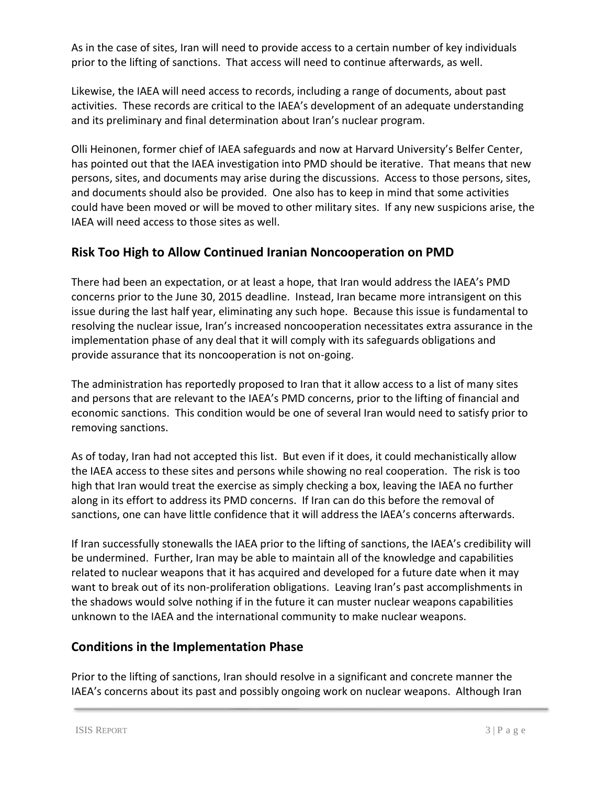As in the case of sites, Iran will need to provide access to a certain number of key individuals prior to the lifting of sanctions. That access will need to continue afterwards, as well.

Likewise, the IAEA will need access to records, including a range of documents, about past activities. These records are critical to the IAEA's development of an adequate understanding and its preliminary and final determination about Iran's nuclear program.

Olli Heinonen, former chief of IAEA safeguards and now at Harvard University's Belfer Center, has pointed out that the IAEA investigation into PMD should be iterative. That means that new persons, sites, and documents may arise during the discussions. Access to those persons, sites, and documents should also be provided. One also has to keep in mind that some activities could have been moved or will be moved to other military sites. If any new suspicions arise, the IAEA will need access to those sites as well.

# **Risk Too High to Allow Continued Iranian Noncooperation on PMD**

There had been an expectation, or at least a hope, that Iran would address the IAEA's PMD concerns prior to the June 30, 2015 deadline. Instead, Iran became more intransigent on this issue during the last half year, eliminating any such hope. Because this issue is fundamental to resolving the nuclear issue, Iran's increased noncooperation necessitates extra assurance in the implementation phase of any deal that it will comply with its safeguards obligations and provide assurance that its noncooperation is not on-going.

The administration has reportedly proposed to Iran that it allow access to a list of many sites and persons that are relevant to the IAEA's PMD concerns, prior to the lifting of financial and economic sanctions. This condition would be one of several Iran would need to satisfy prior to removing sanctions.

As of today, Iran had not accepted this list. But even if it does, it could mechanistically allow the IAEA access to these sites and persons while showing no real cooperation. The risk is too high that Iran would treat the exercise as simply checking a box, leaving the IAEA no further along in its effort to address its PMD concerns. If Iran can do this before the removal of sanctions, one can have little confidence that it will address the IAEA's concerns afterwards.

If Iran successfully stonewalls the IAEA prior to the lifting of sanctions, the IAEA's credibility will be undermined. Further, Iran may be able to maintain all of the knowledge and capabilities related to nuclear weapons that it has acquired and developed for a future date when it may want to break out of its non-proliferation obligations. Leaving Iran's past accomplishments in the shadows would solve nothing if in the future it can muster nuclear weapons capabilities unknown to the IAEA and the international community to make nuclear weapons.

### **Conditions in the Implementation Phase**

Prior to the lifting of sanctions, Iran should resolve in a significant and concrete manner the IAEA's concerns about its past and possibly ongoing work on nuclear weapons. Although Iran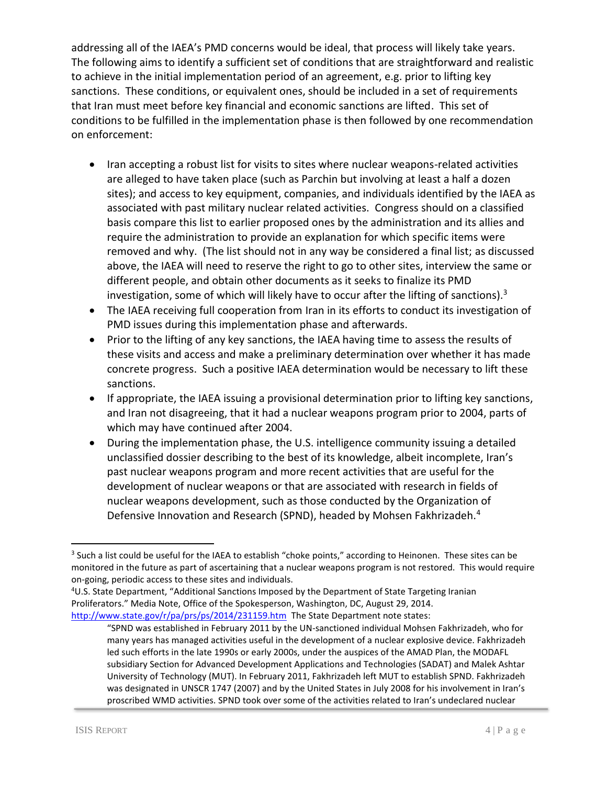addressing all of the IAEA's PMD concerns would be ideal, that process will likely take years. The following aims to identify a sufficient set of conditions that are straightforward and realistic to achieve in the initial implementation period of an agreement, e.g. prior to lifting key sanctions. These conditions, or equivalent ones, should be included in a set of requirements that Iran must meet before key financial and economic sanctions are lifted. This set of conditions to be fulfilled in the implementation phase is then followed by one recommendation on enforcement:

- Iran accepting a robust list for visits to sites where nuclear weapons-related activities are alleged to have taken place (such as Parchin but involving at least a half a dozen sites); and access to key equipment, companies, and individuals identified by the IAEA as associated with past military nuclear related activities. Congress should on a classified basis compare this list to earlier proposed ones by the administration and its allies and require the administration to provide an explanation for which specific items were removed and why. (The list should not in any way be considered a final list; as discussed above, the IAEA will need to reserve the right to go to other sites, interview the same or different people, and obtain other documents as it seeks to finalize its PMD investigation, some of which will likely have to occur after the lifting of sanctions). $3$
- The IAEA receiving full cooperation from Iran in its efforts to conduct its investigation of PMD issues during this implementation phase and afterwards.
- Prior to the lifting of any key sanctions, the IAEA having time to assess the results of these visits and access and make a preliminary determination over whether it has made concrete progress. Such a positive IAEA determination would be necessary to lift these sanctions.
- If appropriate, the IAEA issuing a provisional determination prior to lifting key sanctions, and Iran not disagreeing, that it had a nuclear weapons program prior to 2004, parts of which may have continued after 2004.
- During the implementation phase, the U.S. intelligence community issuing a detailed unclassified dossier describing to the best of its knowledge, albeit incomplete, Iran's past nuclear weapons program and more recent activities that are useful for the development of nuclear weapons or that are associated with research in fields of nuclear weapons development, such as those conducted by the Organization of Defensive Innovation and Research (SPND), headed by Mohsen Fakhrizadeh.<sup>4</sup>

 $\overline{\phantom{a}}$ 

<sup>&</sup>lt;sup>3</sup> Such a list could be useful for the IAEA to establish "choke points," according to Heinonen. These sites can be monitored in the future as part of ascertaining that a nuclear weapons program is not restored. This would require on-going, periodic access to these sites and individuals.

<sup>4</sup>U.S. State Department, "Additional Sanctions Imposed by the Department of State Targeting Iranian Proliferators." Media Note, Office of the Spokesperson, Washington, DC, August 29, 2014. <http://www.state.gov/r/pa/prs/ps/2014/231159.htm>The State Department note states:

<sup>&</sup>quot;SPND was established in February 2011 by the UN-sanctioned individual Mohsen Fakhrizadeh, who for many years has managed activities useful in the development of a nuclear explosive device. Fakhrizadeh led such efforts in the late 1990s or early 2000s, under the auspices of the AMAD Plan, the MODAFL subsidiary Section for Advanced Development Applications and Technologies (SADAT) and Malek Ashtar University of Technology (MUT). In February 2011, Fakhrizadeh left MUT to establish SPND. Fakhrizadeh was designated in UNSCR 1747 (2007) and by the United States in July 2008 for his involvement in Iran's proscribed WMD activities. SPND took over some of the activities related to Iran's undeclared nuclear